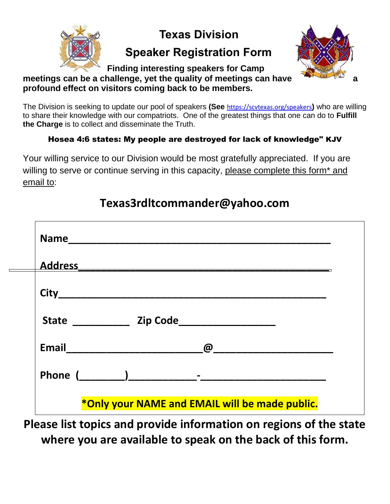

### **Texas Division**

## **Speaker Registration Form**



**Finding interesting speakers for Camp**  meetings can be a challenge, yet the quality of meetings can have **profound effect on visitors coming back to be members.**

The Division is seeking to update our pool of speakers **(See** <https://scvtexas.org/speakers>**)** who are willing to share their knowledge with our compatriots. One of the greatest things that one can do to **Fulfill the Charge** is to collect and disseminate the Truth.

### Hosea 4:6 states: My people are destroyed for lack of knowledge" KJV

Your willing service to our Division would be most gratefully appreciated. If you are willing to serve or continue serving in this capacity, please complete this form<sup>\*</sup> and email to:

| Address Address Address Address Address Address Address Address Address Address Address Address Address Addres |  |
|----------------------------------------------------------------------------------------------------------------|--|
|                                                                                                                |  |
| State <u>and Zip Code</u>                                                                                      |  |
| $\omega$ . The contract of $\omega$                                                                            |  |
|                                                                                                                |  |

# **Texas3rdltcommander@yahoo.com**

**Please list topics and provide information on regions of the state where you are available to speak on the back of this form.**